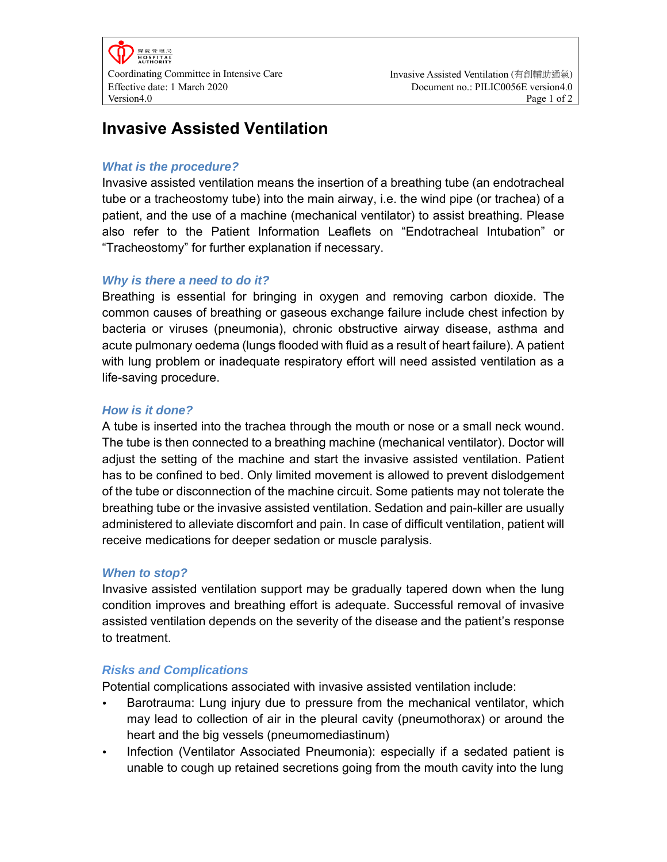# **Invasive Assisted Ventilation**

### *What is the procedure?*

Invasive assisted ventilation means the insertion of a breathing tube (an endotracheal tube or a tracheostomy tube) into the main airway, i.e. the wind pipe (or trachea) of a patient, and the use of a machine (mechanical ventilator) to assist breathing. Please also refer to the Patient Information Leaflets on "Endotracheal Intubation" or "Tracheostomy" for further explanation if necessary.

# *Why is there a need to do it?*

Breathing is essential for bringing in oxygen and removing carbon dioxide. The common causes of breathing or gaseous exchange failure include chest infection by bacteria or viruses (pneumonia), chronic obstructive airway disease, asthma and acute pulmonary oedema (lungs flooded with fluid as a result of heart failure). A patient with lung problem or inadequate respiratory effort will need assisted ventilation as a life-saving procedure.

## *How is it done?*

A tube is inserted into the trachea through the mouth or nose or a small neck wound. The tube is then connected to a breathing machine (mechanical ventilator). Doctor will adjust the setting of the machine and start the invasive assisted ventilation. Patient has to be confined to bed. Only limited movement is allowed to prevent dislodgement of the tube or disconnection of the machine circuit. Some patients may not tolerate the breathing tube or the invasive assisted ventilation. Sedation and pain-killer are usually administered to alleviate discomfort and pain. In case of difficult ventilation, patient will receive medications for deeper sedation or muscle paralysis.

## *When to stop?*

Invasive assisted ventilation support may be gradually tapered down when the lung condition improves and breathing effort is adequate. Successful removal of invasive assisted ventilation depends on the severity of the disease and the patient's response to treatment.

#### *Risks and Complications*

Potential complications associated with invasive assisted ventilation include:

- Barotrauma: Lung injury due to pressure from the mechanical ventilator, which may lead to collection of air in the pleural cavity (pneumothorax) or around the heart and the big vessels (pneumomediastinum)
- Infection (Ventilator Associated Pneumonia): especially if a sedated patient is unable to cough up retained secretions going from the mouth cavity into the lung